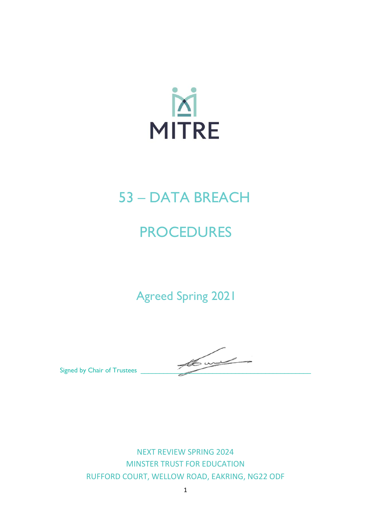

## 53 – DATA BREACH

# **PROCEDURES**

Agreed Spring 2021

Signed by Chair of Trustees

NEXT REVIEW SPRING 2024 MINSTER TRUST FOR EDUCATION RUFFORD COURT, WELLOW ROAD, EAKRING, NG22 ODF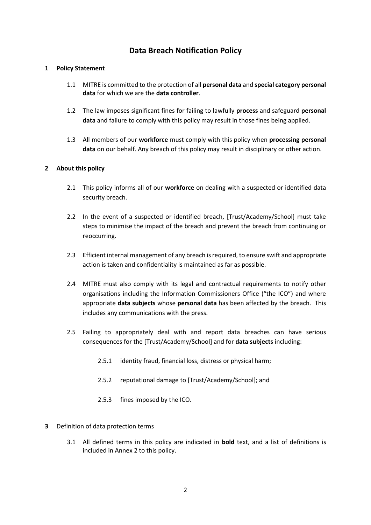## **Data Breach Notification Policy**

#### **1 Policy Statement**

- 1.1 MITRE is committed to the protection of all **personal data** and **special category personal data** for which we are the **data controller**.
- 1.2 The law imposes significant fines for failing to lawfully **process** and safeguard **personal data** and failure to comply with this policy may result in those fines being applied.
- 1.3 All members of our **workforce** must comply with this policy when **processing personal data** on our behalf. Any breach of this policy may result in disciplinary or other action.

#### **2 About this policy**

- 2.1 This policy informs all of our **workforce** on dealing with a suspected or identified data security breach.
- 2.2 In the event of a suspected or identified breach, [Trust/Academy/School] must take steps to minimise the impact of the breach and prevent the breach from continuing or reoccurring.
- 2.3 Efficient internal management of any breach is required, to ensure swift and appropriate action is taken and confidentiality is maintained as far as possible.
- 2.4 MITRE must also comply with its legal and contractual requirements to notify other organisations including the Information Commissioners Office ("the ICO") and where appropriate **data subjects** whose **personal data** has been affected by the breach. This includes any communications with the press.
- 2.5 Failing to appropriately deal with and report data breaches can have serious consequences for the [Trust/Academy/School] and for **data subjects** including:
	- 2.5.1 identity fraud, financial loss, distress or physical harm;
	- 2.5.2 reputational damage to [Trust/Academy/School]; and
	- 2.5.3 fines imposed by the ICO.
- **3** Definition of data protection terms
	- 3.1 All defined terms in this policy are indicated in **bold** text, and a list of definitions is included in Annex 2 to this policy.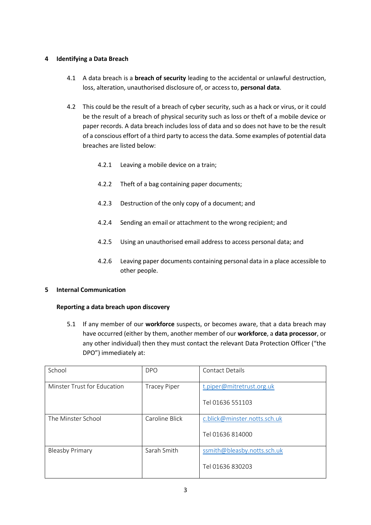#### **4 Identifying a Data Breach**

- 4.1 A data breach is a **breach of security** leading to the accidental or unlawful destruction, loss, alteration, unauthorised disclosure of, or access to, **personal data**.
- 4.2 This could be the result of a breach of cyber security, such as a hack or virus, or it could be the result of a breach of physical security such as loss or theft of a mobile device or paper records. A data breach includes loss of data and so does not have to be the result of a conscious effort of a third party to access the data. Some examples of potential data breaches are listed below:
	- 4.2.1 Leaving a mobile device on a train;
	- 4.2.2 Theft of a bag containing paper documents;
	- 4.2.3 Destruction of the only copy of a document; and
	- 4.2.4 Sending an email or attachment to the wrong recipient; and
	- 4.2.5 Using an unauthorised email address to access personal data; and
	- 4.2.6 Leaving paper documents containing personal data in a place accessible to other people.

#### **5 Internal Communication**

#### **Reporting a data breach upon discovery**

5.1 If any member of our **workforce** suspects, or becomes aware, that a data breach may have occurred (either by them, another member of our **workforce**, a **data processor**, or any other individual) then they must contact the relevant Data Protection Officer ("the DPO") immediately at:

| School                      | <b>DPO</b>          | <b>Contact Details</b>       |
|-----------------------------|---------------------|------------------------------|
| Minster Trust for Education | <b>Tracey Piper</b> | t.piper@mitretrust.org.uk    |
|                             |                     | Tel 01636 551103             |
| The Minster School          | Caroline Blick      | c.blick@minster.notts.sch.uk |
|                             |                     | Tel 01636 814000             |
| <b>Bleasby Primary</b>      | Sarah Smith         | ssmith@bleasby.notts.sch.uk  |
|                             |                     | Tel 01636 830203             |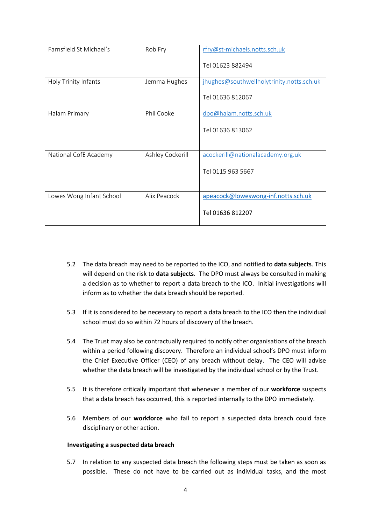| Farnsfield St Michael's  | Rob Fry          | rfry@st-michaels.notts.sch.uk<br>Tel 01623 882494             |
|--------------------------|------------------|---------------------------------------------------------------|
| Holy Trinity Infants     | Jemma Hughes     | jhughes@southwellholytrinity.notts.sch.uk<br>Tel 01636 812067 |
| Halam Primary            | Phil Cooke       | dpo@halam.notts.sch.uk<br>Tel 01636 813062                    |
| National CofE Academy    | Ashley Cockerill | acockerill@nationalacademy.org.uk<br>Tel 0115 963 5667        |
| Lowes Wong Infant School | Alix Peacock     | apeacock@loweswong-inf.notts.sch.uk<br>Tel 01636 812207       |

- 5.2 The data breach may need to be reported to the ICO, and notified to **data subjects**. This will depend on the risk to **data subjects**. The DPO must always be consulted in making a decision as to whether to report a data breach to the ICO. Initial investigations will inform as to whether the data breach should be reported.
- 5.3 If it is considered to be necessary to report a data breach to the ICO then the individual school must do so within 72 hours of discovery of the breach.
- 5.4 The Trust may also be contractually required to notify other organisations of the breach within a period following discovery. Therefore an individual school's DPO must inform the Chief Executive Officer (CEO) of any breach without delay. The CEO will advise whether the data breach will be investigated by the individual school or by the Trust.
- 5.5 It is therefore critically important that whenever a member of our **workforce** suspects that a data breach has occurred, this is reported internally to the DPO immediately.
- 5.6 Members of our **workforce** who fail to report a suspected data breach could face disciplinary or other action.

#### **Investigating a suspected data breach**

5.7 In relation to any suspected data breach the following steps must be taken as soon as possible. These do not have to be carried out as individual tasks, and the most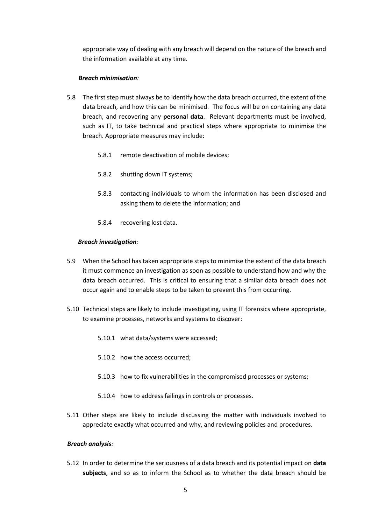appropriate way of dealing with any breach will depend on the nature of the breach and the information available at any time.

#### *Breach minimisation:*

- 5.8 The first step must always be to identify how the data breach occurred, the extent of the data breach, and how this can be minimised. The focus will be on containing any data breach, and recovering any **personal data**. Relevant departments must be involved, such as IT, to take technical and practical steps where appropriate to minimise the breach. Appropriate measures may include:
	- 5.8.1 remote deactivation of mobile devices;
	- 5.8.2 shutting down IT systems;
	- 5.8.3 contacting individuals to whom the information has been disclosed and asking them to delete the information; and
	- 5.8.4 recovering lost data.

#### *Breach investigation:*

- 5.9 When the School has taken appropriate steps to minimise the extent of the data breach it must commence an investigation as soon as possible to understand how and why the data breach occurred. This is critical to ensuring that a similar data breach does not occur again and to enable steps to be taken to prevent this from occurring.
- 5.10 Technical steps are likely to include investigating, using IT forensics where appropriate, to examine processes, networks and systems to discover:
	- 5.10.1 what data/systems were accessed;
	- 5.10.2 how the access occurred;
	- 5.10.3 how to fix vulnerabilities in the compromised processes or systems;
	- 5.10.4 how to address failings in controls or processes.
- 5.11 Other steps are likely to include discussing the matter with individuals involved to appreciate exactly what occurred and why, and reviewing policies and procedures.

#### *Breach analysis:*

5.12 In order to determine the seriousness of a data breach and its potential impact on **data subjects**, and so as to inform the School as to whether the data breach should be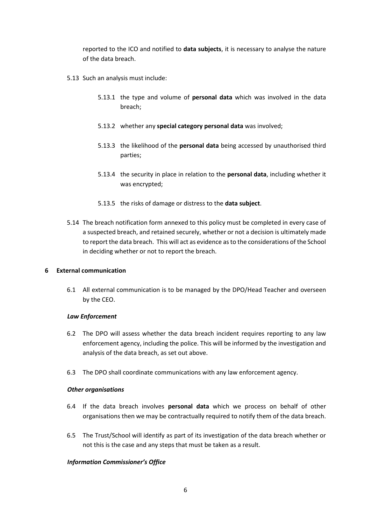reported to the ICO and notified to **data subjects**, it is necessary to analyse the nature of the data breach.

- 5.13 Such an analysis must include:
	- 5.13.1 the type and volume of **personal data** which was involved in the data breach;
	- 5.13.2 whether any **special category personal data** was involved;
	- 5.13.3 the likelihood of the **personal data** being accessed by unauthorised third parties;
	- 5.13.4 the security in place in relation to the **personal data**, including whether it was encrypted;
	- 5.13.5 the risks of damage or distress to the **data subject**.
- 5.14 The breach notification form annexed to this policy must be completed in every case of a suspected breach, and retained securely, whether or not a decision is ultimately made to report the data breach. This will act as evidence as to the considerations of the School in deciding whether or not to report the breach.

#### **6 External communication**

6.1 All external communication is to be managed by the DPO/Head Teacher and overseen by the CEO.

#### *Law Enforcement*

- 6.2 The DPO will assess whether the data breach incident requires reporting to any law enforcement agency, including the police. This will be informed by the investigation and analysis of the data breach, as set out above.
- 6.3 The DPO shall coordinate communications with any law enforcement agency.

#### *Other organisations*

- 6.4 If the data breach involves **personal data** which we process on behalf of other organisations then we may be contractually required to notify them of the data breach.
- 6.5 The Trust/School will identify as part of its investigation of the data breach whether or not this is the case and any steps that must be taken as a result.

#### *Information Commissioner's Office*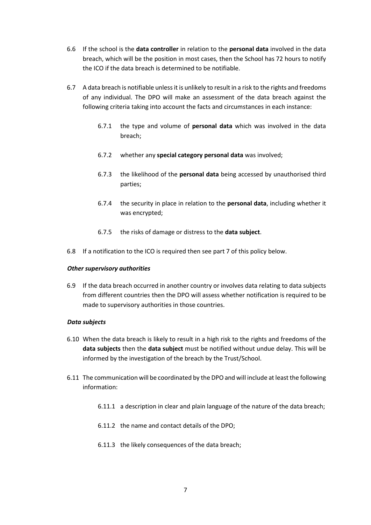- 6.6 If the school is the **data controller** in relation to the **personal data** involved in the data breach, which will be the position in most cases, then the School has 72 hours to notify the ICO if the data breach is determined to be notifiable.
- 6.7 A data breach is notifiable unless it is unlikely to result in a risk to the rights and freedoms of any individual. The DPO will make an assessment of the data breach against the following criteria taking into account the facts and circumstances in each instance:
	- 6.7.1 the type and volume of **personal data** which was involved in the data breach;
	- 6.7.2 whether any **special category personal data** was involved;
	- 6.7.3 the likelihood of the **personal data** being accessed by unauthorised third parties;
	- 6.7.4 the security in place in relation to the **personal data**, including whether it was encrypted;
	- 6.7.5 the risks of damage or distress to the **data subject**.
- 6.8 If a notification to the ICO is required then see part 7 of this policy below.

#### *Other supervisory authorities*

6.9 If the data breach occurred in another country or involves data relating to data subjects from different countries then the DPO will assess whether notification is required to be made to supervisory authorities in those countries.

#### *Data subjects*

- 6.10 When the data breach is likely to result in a high risk to the rights and freedoms of the **data subjects** then the **data subject** must be notified without undue delay. This will be informed by the investigation of the breach by the Trust/School.
- 6.11 The communication will be coordinated by the DPO and will include at least the following information:
	- 6.11.1 a description in clear and plain language of the nature of the data breach;
	- 6.11.2 the name and contact details of the DPO;
	- 6.11.3 the likely consequences of the data breach;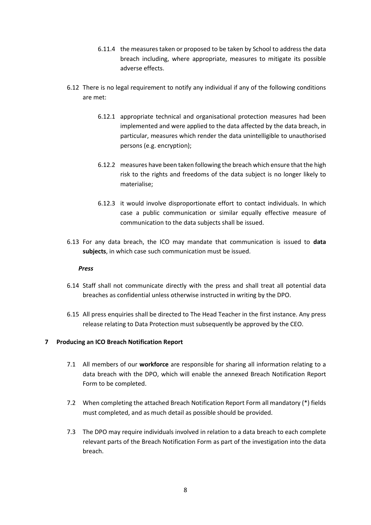- 6.11.4 the measures taken or proposed to be taken by School to address the data breach including, where appropriate, measures to mitigate its possible adverse effects.
- 6.12 There is no legal requirement to notify any individual if any of the following conditions are met:
	- 6.12.1 appropriate technical and organisational protection measures had been implemented and were applied to the data affected by the data breach, in particular, measures which render the data unintelligible to unauthorised persons (e.g. encryption);
	- 6.12.2 measures have been taken following the breach which ensure that the high risk to the rights and freedoms of the data subject is no longer likely to materialise;
	- 6.12.3 it would involve disproportionate effort to contact individuals. In which case a public communication or similar equally effective measure of communication to the data subjects shall be issued.
- 6.13 For any data breach, the ICO may mandate that communication is issued to **data subjects**, in which case such communication must be issued.

#### *Press*

- 6.14 Staff shall not communicate directly with the press and shall treat all potential data breaches as confidential unless otherwise instructed in writing by the DPO.
- 6.15 All press enquiries shall be directed to The Head Teacher in the first instance. Any press release relating to Data Protection must subsequently be approved by the CEO.

#### **7 Producing an ICO Breach Notification Report**

- 7.1 All members of our **workforce** are responsible for sharing all information relating to a data breach with the DPO, which will enable the annexed Breach Notification Report Form to be completed.
- 7.2 When completing the attached Breach Notification Report Form all mandatory (\*) fields must completed, and as much detail as possible should be provided.
- 7.3 The DPO may require individuals involved in relation to a data breach to each complete relevant parts of the Breach Notification Form as part of the investigation into the data breach.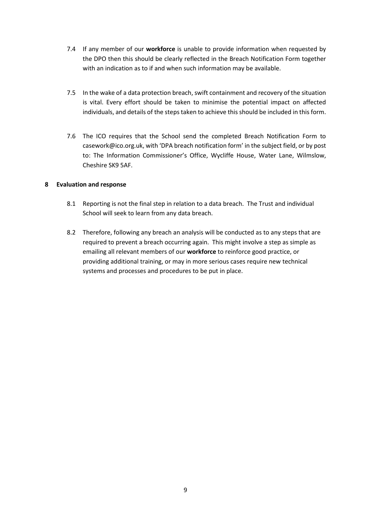- 7.4 If any member of our **workforce** is unable to provide information when requested by the DPO then this should be clearly reflected in the Breach Notification Form together with an indication as to if and when such information may be available.
- 7.5 In the wake of a data protection breach, swift containment and recovery of the situation is vital. Every effort should be taken to minimise the potential impact on affected individuals, and details of the steps taken to achieve this should be included in this form.
- 7.6 The ICO requires that the School send the completed Breach Notification Form to casework@ico.org.uk, with 'DPA breach notification form' in the subject field, or by post to: The Information Commissioner's Office, Wycliffe House, Water Lane, Wilmslow, Cheshire SK9 5AF.

#### **8 Evaluation and response**

- 8.1 Reporting is not the final step in relation to a data breach. The Trust and individual School will seek to learn from any data breach.
- 8.2 Therefore, following any breach an analysis will be conducted as to any steps that are required to prevent a breach occurring again. This might involve a step as simple as emailing all relevant members of our **workforce** to reinforce good practice, or providing additional training, or may in more serious cases require new technical systems and processes and procedures to be put in place.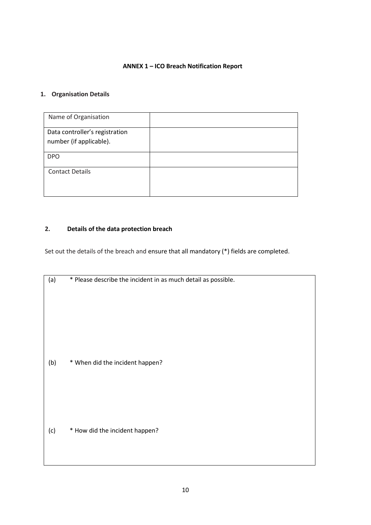#### **ANNEX 1 – ICO Breach Notification Report**

## **1. Organisation Details**

| Name of Organisation                                      |  |
|-----------------------------------------------------------|--|
| Data controller's registration<br>number (if applicable). |  |
| <b>DPO</b>                                                |  |
| <b>Contact Details</b>                                    |  |

## **2. Details of the data protection breach**

Set out the details of the breach and ensure that all mandatory (\*) fields are completed.

| (a) | * Please describe the incident in as much detail as possible. |
|-----|---------------------------------------------------------------|
|     |                                                               |
|     |                                                               |
|     |                                                               |
|     |                                                               |
|     |                                                               |
|     |                                                               |
| (b) | * When did the incident happen?                               |
|     |                                                               |
|     |                                                               |
|     |                                                               |
|     |                                                               |
|     |                                                               |
|     | * How did the incident happen?                                |
| (c) |                                                               |
|     |                                                               |
|     |                                                               |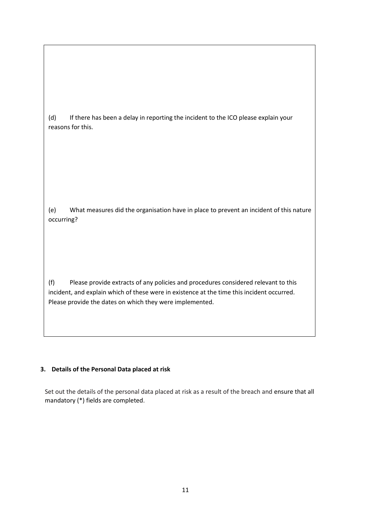(d) If there has been a delay in reporting the incident to the ICO please explain your reasons for this.

(e) What measures did the organisation have in place to prevent an incident of this nature occurring?

(f) Please provide extracts of any policies and procedures considered relevant to this incident, and explain which of these were in existence at the time this incident occurred. Please provide the dates on which they were implemented.

## **3. Details of the Personal Data placed at risk**

Set out the details of the personal data placed at risk as a result of the breach and ensure that all mandatory (\*) fields are completed.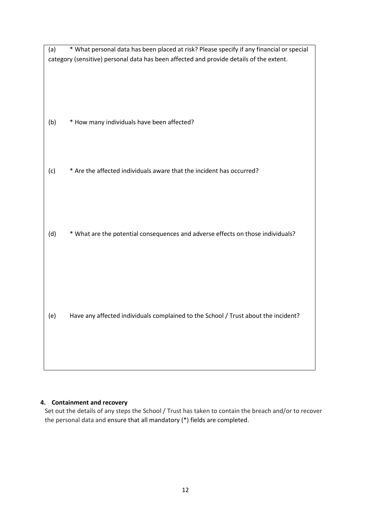| category (sensitive) personal data has been affected and provide details of the extent.<br>* How many individuals have been affected?<br>(b)<br>* Are the affected individuals aware that the incident has occurred?<br>(c) |
|-----------------------------------------------------------------------------------------------------------------------------------------------------------------------------------------------------------------------------|
|                                                                                                                                                                                                                             |
|                                                                                                                                                                                                                             |
|                                                                                                                                                                                                                             |
|                                                                                                                                                                                                                             |
|                                                                                                                                                                                                                             |
|                                                                                                                                                                                                                             |
|                                                                                                                                                                                                                             |
|                                                                                                                                                                                                                             |
|                                                                                                                                                                                                                             |
|                                                                                                                                                                                                                             |
|                                                                                                                                                                                                                             |
|                                                                                                                                                                                                                             |
|                                                                                                                                                                                                                             |
|                                                                                                                                                                                                                             |
|                                                                                                                                                                                                                             |
|                                                                                                                                                                                                                             |
|                                                                                                                                                                                                                             |
| * What are the potential consequences and adverse effects on those individuals?<br>(d)                                                                                                                                      |
|                                                                                                                                                                                                                             |
|                                                                                                                                                                                                                             |
|                                                                                                                                                                                                                             |
|                                                                                                                                                                                                                             |
|                                                                                                                                                                                                                             |
|                                                                                                                                                                                                                             |
|                                                                                                                                                                                                                             |
| Have any affected individuals complained to the School / Trust about the incident?<br>(e)                                                                                                                                   |
|                                                                                                                                                                                                                             |
|                                                                                                                                                                                                                             |
|                                                                                                                                                                                                                             |
|                                                                                                                                                                                                                             |

## **4. Containment and recovery**

Set out the details of any steps the School / Trust has taken to contain the breach and/or to recover the personal data and ensure that all mandatory (\*) fields are completed.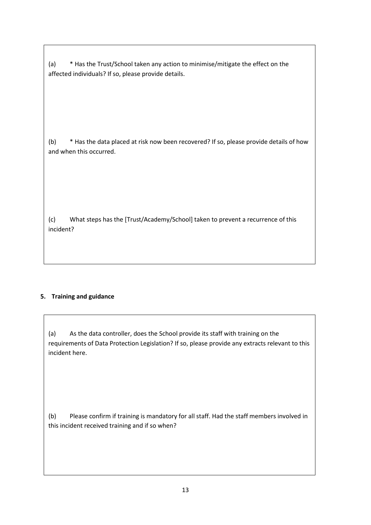(a) \* Has the Trust/School taken any action to minimise/mitigate the effect on the affected individuals? If so, please provide details.

(b) \* Has the data placed at risk now been recovered? If so, please provide details of how and when this occurred.

(c) What steps has the [Trust/Academy/School] taken to prevent a recurrence of this incident?

## **5. Training and guidance**

(a) As the data controller, does the School provide its staff with training on the requirements of Data Protection Legislation? If so, please provide any extracts relevant to this incident here.

(b) Please confirm if training is mandatory for all staff. Had the staff members involved in this incident received training and if so when?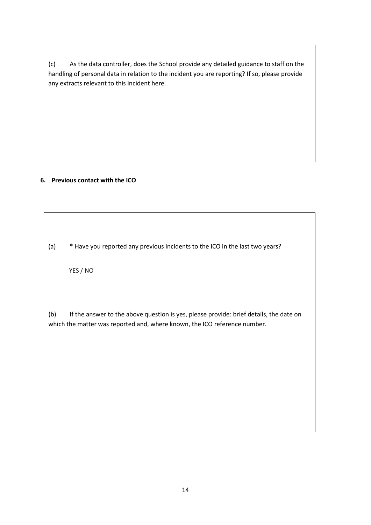(c) As the data controller, does the School provide any detailed guidance to staff on the handling of personal data in relation to the incident you are reporting? If so, please provide any extracts relevant to this incident here.

#### **6. Previous contact with the ICO**

(a) \* Have you reported any previous incidents to the ICO in the last two years?

YES / NO

(b) If the answer to the above question is yes, please provide: brief details, the date on which the matter was reported and, where known, the ICO reference number.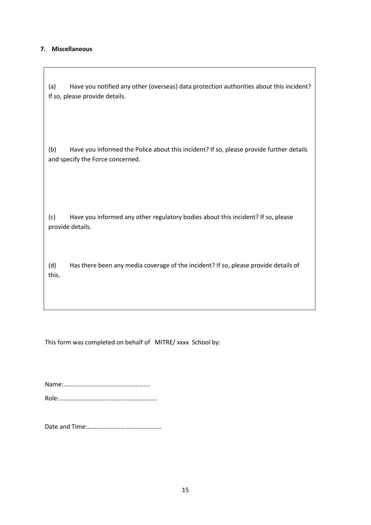#### **7. Miscellaneous**

(a) Have you notified any other (overseas) data protection authorities about this incident? If so, please provide details.

(b) Have you informed the Police about this incident? If so, please provide further details and specify the Force concerned.

(c) Have you informed any other regulatory bodies about this incident? If so, please provide details.

(d) Has there been any media coverage of the incident? If so, please provide details of this.

This form was completed on behalf of MITRE/ xxxx School by:

Name:………………………………………………. Role:……………………………………………………..

Date and Time:………………………………………..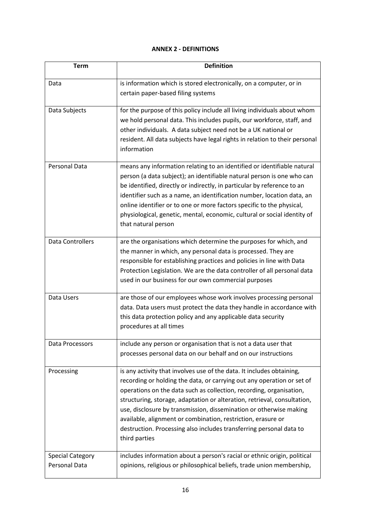#### **ANNEX 2 - DEFINITIONS**

| <b>Term</b>                              | <b>Definition</b>                                                                                                                                                                                                                                                                                                                                                                                                                                                                                                                |
|------------------------------------------|----------------------------------------------------------------------------------------------------------------------------------------------------------------------------------------------------------------------------------------------------------------------------------------------------------------------------------------------------------------------------------------------------------------------------------------------------------------------------------------------------------------------------------|
| Data                                     | is information which is stored electronically, on a computer, or in<br>certain paper-based filing systems                                                                                                                                                                                                                                                                                                                                                                                                                        |
| Data Subjects                            | for the purpose of this policy include all living individuals about whom<br>we hold personal data. This includes pupils, our workforce, staff, and<br>other individuals. A data subject need not be a UK national or<br>resident. All data subjects have legal rights in relation to their personal<br>information                                                                                                                                                                                                               |
| Personal Data                            | means any information relating to an identified or identifiable natural<br>person (a data subject); an identifiable natural person is one who can<br>be identified, directly or indirectly, in particular by reference to an<br>identifier such as a name, an identification number, location data, an<br>online identifier or to one or more factors specific to the physical,<br>physiological, genetic, mental, economic, cultural or social identity of<br>that natural person                                               |
| <b>Data Controllers</b>                  | are the organisations which determine the purposes for which, and<br>the manner in which, any personal data is processed. They are<br>responsible for establishing practices and policies in line with Data<br>Protection Legislation. We are the data controller of all personal data<br>used in our business for our own commercial purposes                                                                                                                                                                                   |
| Data Users                               | are those of our employees whose work involves processing personal<br>data. Data users must protect the data they handle in accordance with<br>this data protection policy and any applicable data security<br>procedures at all times                                                                                                                                                                                                                                                                                           |
| Data Processors                          | include any person or organisation that is not a data user that<br>processes personal data on our behalf and on our instructions                                                                                                                                                                                                                                                                                                                                                                                                 |
| Processing                               | is any activity that involves use of the data. It includes obtaining,<br>recording or holding the data, or carrying out any operation or set of<br>operations on the data such as collection, recording, organisation,<br>structuring, storage, adaptation or alteration, retrieval, consultation,<br>use, disclosure by transmission, dissemination or otherwise making<br>available, alignment or combination, restriction, erasure or<br>destruction. Processing also includes transferring personal data to<br>third parties |
| <b>Special Category</b><br>Personal Data | includes information about a person's racial or ethnic origin, political<br>opinions, religious or philosophical beliefs, trade union membership,                                                                                                                                                                                                                                                                                                                                                                                |